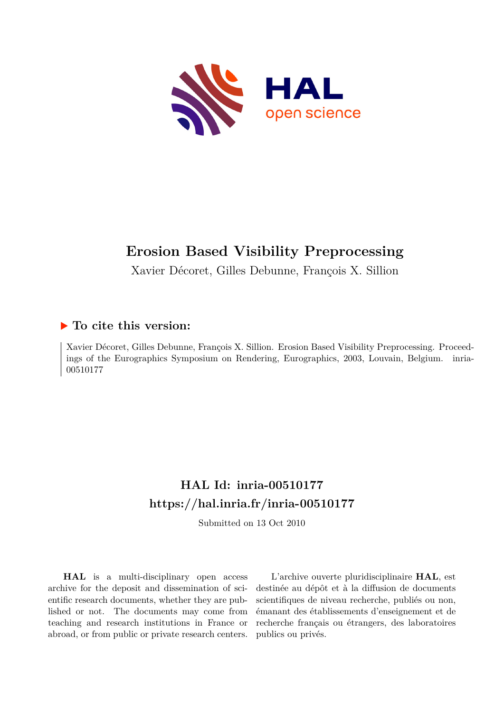

# **Erosion Based Visibility Preprocessing**

Xavier Décoret, Gilles Debunne, François X. Sillion

## **To cite this version:**

Xavier Décoret, Gilles Debunne, François X. Sillion. Erosion Based Visibility Preprocessing. Proceedings of the Eurographics Symposium on Rendering, Eurographics, 2003, Louvain, Belgium. inria-00510177ff

## **HAL Id: inria-00510177 <https://hal.inria.fr/inria-00510177>**

Submitted on 13 Oct 2010

**HAL** is a multi-disciplinary open access archive for the deposit and dissemination of scientific research documents, whether they are published or not. The documents may come from teaching and research institutions in France or abroad, or from public or private research centers.

L'archive ouverte pluridisciplinaire **HAL**, est destinée au dépôt et à la diffusion de documents scientifiques de niveau recherche, publiés ou non, émanant des établissements d'enseignement et de recherche français ou étrangers, des laboratoires publics ou privés.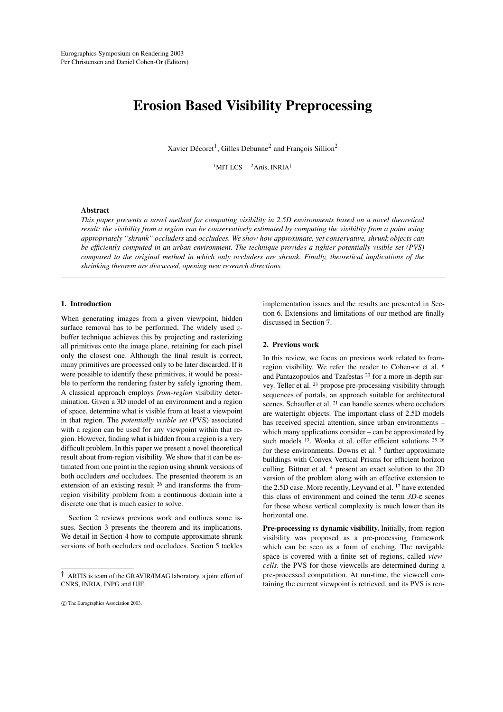## **Erosion Based Visibility Preprocessing**

Xavier Décoret<sup>1</sup>, Gilles Debunne<sup>2</sup> and François Sillion<sup>2</sup>

<sup>1</sup>MIT LCS  $2$  Artis, INRIA<sup>†</sup>

#### **Abstract**

This paper presents a novel method for computing visibility in 2.5D environments based on a novel theoretical result: the visibility from a region can be conservatively estimated by computing the visibility from a point using *appropriately "shrunk" occluders* and *occludees. We show how approximate, yet conservative, shrunk objects can be efficiently computed in an urban environment. The technique provides a tighter potentially visible set (PVS) compared to the original method in which only occluders are shrunk. Finally, theoretical implications of the shrinking theorem are discussed, opening new research directions.*

## **1. Introduction**

When generating images from a given viewpoint, hidden surface removal has to be performed. The widely used *z*buffer technique achieves this by projecting and rasterizing all primitives onto the image plane, retaining for each pixel only the closest one. Although the final result is correct, many primitives are processed only to be later discarded. If it were possible to identify these primitives, it would be possible to perform the rendering faster by safely ignoring them. A classical approach employs *from-region* visibility determination. Given a 3D model of an environment and a region of space, determine what is visible from at least a viewpoint in that region. The *potentially visible set* (PVS) associated with a region can be used for any viewpoint within that region. However, finding what is hidden from a region is a very difficult problem. In this paper we present a novel theoretical result about from-region visibility. We show that it can be estimated from one point in the region using shrunk versions of both occluders *and* occludees. The presented theorem is an extension of an existing result <sup>26</sup> and transforms the fromregion visibility problem from a continuous domain into a discrete one that is much easier to solve.

Section 2 reviews previous work and outlines some issues. Section 3 presents the theorem and its implications. We detail in Section 4 how to compute approximate shrunk versions of both occluders and occludees. Section 5 tackles

c The Eurographics Association 2003.

implementation issues and the results are presented in Section 6. Extensions and limitations of our method are finally discussed in Section 7.

#### **2. Previous work**

In this review, we focus on previous work related to fromregion visibility. We refer the reader to Cohen-or et al. <sup>6</sup> and Pantazopoulos and Tzafestas <sup>20</sup> for a more in-depth survey. Teller et al. <sup>23</sup> propose pre-processing visibility through sequences of portals, an approach suitable for architectural scenes. Schaufler et al. <sup>21</sup> can handle scenes where occluders are watertight objects. The important class of 2.5D models has received special attention, since urban environments – which many applications consider – can be approximated by such models <sup>13</sup>. Wonka et al. offer efficient solutions <sup>25, 26</sup> for these environments. Downs et al. <sup>9</sup> further approximate buildings with Convex Vertical Prisms for efficient horizon culling. Bittner et al. <sup>4</sup> present an exact solution to the 2D version of the problem along with an effective extension to the 2.5D case. More recently, Leyvand et al. <sup>17</sup> have extended this class of environment and coined the term *3D-*ε scenes for those whose vertical complexity is much lower than its horizontal one.

**Pre-processing** *vs* **dynamic visibility.** Initially, from-region visibility was proposed as a pre-processing framework which can be seen as a form of caching. The navigable space is covered with a finite set of regions, called *viewcells*. the PVS for those viewcells are determined during a pre-processed computation. At run-time, the viewcell containing the current viewpoint is retrieved, and its PVS is ren-

<sup>†</sup> ARTIS is team of the GRAVIR/IMAG laboratory, a joint effort of CNRS, INRIA, INPG and UJF.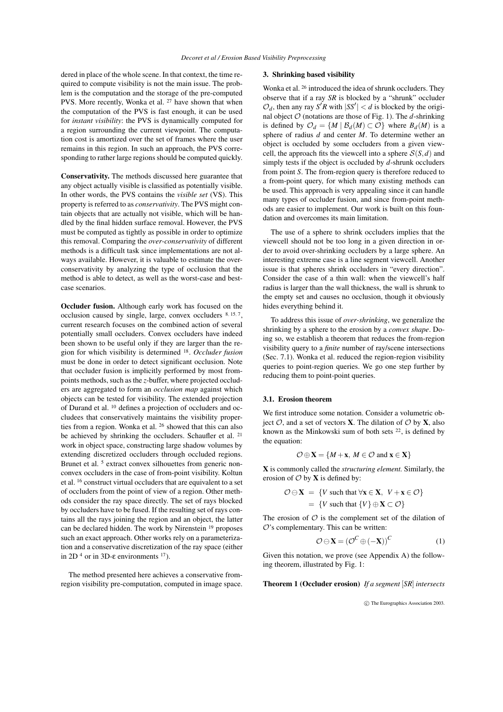dered in place of the whole scene. In that context, the time required to compute visibility is not the main issue. The problem is the computation and the storage of the pre-computed PVS. More recently, Wonka et al. <sup>27</sup> have shown that when the computation of the PVS is fast enough, it can be used for *instant visibility*: the PVS is dynamically computed for a region surrounding the current viewpoint. The computation cost is amortized over the set of frames where the user remains in this region. In such an approach, the PVS corresponding to rather large regions should be computed quickly.

**Conservativity.** The methods discussed here guarantee that any object actually visible is classified as potentially visible. In other words, the PVS contains the *visible set* (VS). This property is referred to as *conservativity*. The PVS might contain objects that are actually not visible, which will be handled by the final hidden surface removal. However, the PVS must be computed as tightly as possible in order to optimize this removal. Comparing the *over-conservativity* of different methods is a difficult task since implementations are not always available. However, it is valuable to estimate the overconservativity by analyzing the type of occlusion that the method is able to detect, as well as the worst-case and bestcase scenarios.

**Occluder fusion.** Although early work has focused on the occlusion caused by single, large, convex occluders 8, 15, 7, current research focuses on the combined action of several potentially small occluders. Convex occluders have indeed been shown to be useful only if they are larger than the region for which visibility is determined <sup>18</sup> . *Occluder fusion* must be done in order to detect significant occlusion. Note that occluder fusion is implicitly performed by most frompoints methods, such as the *z*-buffer, where projected occluders are aggregated to form an *occlusion map* against which objects can be tested for visibility. The extended projection of Durand et al. <sup>10</sup> defines a projection of occluders and occludees that conservatively maintains the visibility properties from a region. Wonka et al. <sup>26</sup> showed that this can also be achieved by shrinking the occluders. Schaufler et al. <sup>21</sup> work in object space, constructing large shadow volumes by extending discretized occluders through occluded regions. Brunet et al.<sup>5</sup> extract convex silhouettes from generic nonconvex occluders in the case of from-point visibility. Koltun et al. <sup>16</sup> construct virtual occluders that are equivalent to a set of occluders from the point of view of a region. Other methods consider the ray space directly. The set of rays blocked by occluders have to be fused. If the resulting set of rays contains all the rays joining the region and an object, the latter can be declared hidden. The work by Nirenstein <sup>19</sup> proposes such an exact approach. Other works rely on a parameterization and a conservative discretization of the ray space (either in 2D<sup>4</sup> or in 3D-ε environments <sup>17</sup>).

The method presented here achieves a conservative fromregion visibility pre-computation, computed in image space.

## **3. Shrinking based visibility**

Wonka et al. <sup>26</sup> introduced the idea of shrunk occluders. They observe that if a ray *SR* is blocked by a "shrunk" occluder  $\mathcal{O}_d$ , then any ray *S*<sup>*R*</sup> with  $|SS'| < d$  is blocked by the original object  $O$  (notations are those of Fig. 1). The *d*-shrinking is defined by  $\mathcal{O}_d = \{M \mid \mathcal{B}_d(M) \subset \mathcal{O}\}$  where  $\mathcal{B}_d(M)$  is a sphere of radius *d* and center *M*. To determine wether an object is occluded by some occluders from a given viewcell, the approach fits the viewcell into a sphere  $S(S,d)$  and simply tests if the object is occluded by *d*-shrunk occluders from point *S*. The from-region query is therefore reduced to a from-point query, for which many existing methods can be used. This approach is very appealing since it can handle many types of occluder fusion, and since from-point methods are easier to implement. Our work is built on this foundation and overcomes its main limitation.

The use of a sphere to shrink occluders implies that the viewcell should not be too long in a given direction in order to avoid over-shrinking occluders by a large sphere. An interesting extreme case is a line segment viewcell. Another issue is that spheres shrink occluders in "every direction". Consider the case of a thin wall: when the viewcell's half radius is larger than the wall thickness, the wall is shrunk to the empty set and causes no occlusion, though it obviously hides everything behind it.

To address this issue of *over-shrinking*, we generalize the shrinking by a sphere to the erosion by a *convex shape*. Doing so, we establish a theorem that reduces the from-region visibility query to a *finite* number of ray/scene intersections (Sec. 7.1). Wonka et al. reduced the region-region visibility queries to point-region queries. We go one step further by reducing them to point-point queries.

## **3.1. Erosion theorem**

We first introduce some notation. Consider a volumetric obiect  $\mathcal{O}$ , and a set of vectors **X**. The dilation of  $\mathcal{O}$  by **X**, also known as the Minkowski sum of both sets <sup>22</sup>, is defined by the equation:

$$
\mathcal{O} \oplus \mathbf{X} = \{M + \mathbf{x}, M \in \mathcal{O} \text{ and } \mathbf{x} \in \mathbf{X}\}
$$

**X** is commonly called the *structuring element.* Similarly, the erosion of  $\mathcal O$  by **X** is defined by:

$$
\mathcal{O} \ominus \mathbf{X} = \{V \text{ such that } \forall \mathbf{x} \in \mathbf{X}, V + \mathbf{x} \in \mathcal{O}\}
$$

$$
= \{V \text{ such that } \{V\} \oplus \mathbf{X} \subset \mathcal{O}\}
$$

The erosion of  $\mathcal O$  is the complement set of the dilation of  $O$ 's complementary. This can be written:

$$
\mathcal{O}\ominus\mathbf{X}=\left(\mathcal{O}^C\oplus(-\mathbf{X})\right)^C\tag{1}
$$

Given this notation, we prove (see Appendix A) the following theorem, illustrated by Fig. 1:

**Theorem 1 (Occluder erosion)** *If a segment* [*SR*] *intersects*

c The Eurographics Association 2003.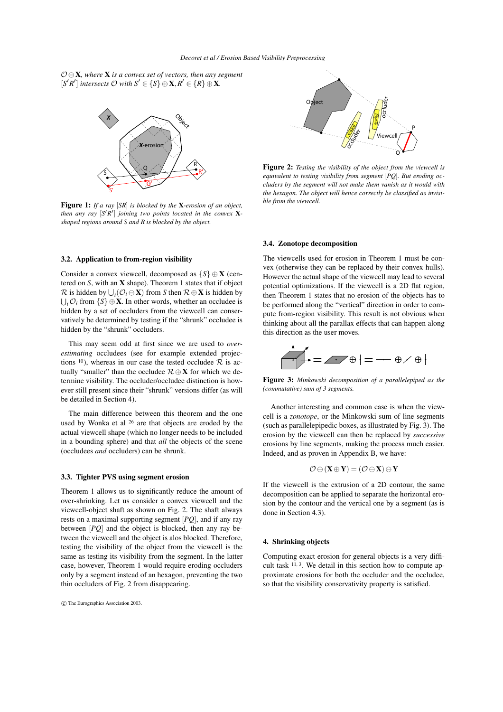$\mathcal{O} \ominus \mathbf{X}$ *, where* **X** *is a convex set of vectors, then any segment*  $[S'R']$  intersects  $O$  with  $S' \in \{S\} \oplus \mathbf{X}, R' \in \{R\} \oplus \mathbf{X}$ .



**Figure 1:** *If a ray* [*SR*] *is blocked by the* **X***-erosion of an object, then* any ray  $[S'R']$  *joining two points located in the convex* X*shaped regions around S and R is blocked by the object.*

### **3.2. Application to from-region visibility**

Consider a convex viewcell, decomposed as {*S*} ⊕ **X** (centered on *S*, with an **X** shape). Theorem 1 states that if object  $\mathcal{R}$  is hidden by  $\bigcup_i (\mathcal{O}_i \ominus \mathbf{X})$  from *S* then  $\mathcal{R} \oplus \mathbf{X}$  is hidden by  $\bigcup_i \mathcal{O}_i$  from  $\{S\} \oplus \mathbf{X}$ . In other words, whether an occludee is hidden by a set of occluders from the viewcell can conservatively be determined by testing if the "shrunk" occludee is hidden by the "shrunk" occluders.

This may seem odd at first since we are used to *overestimating* occludees (see for example extended projections <sup>10</sup>), whereas in our case the tested occludee  $\mathcal{R}$  is actually "smaller" than the occludee R ⊕**X** for which we determine visibility. The occluder/occludee distinction is however still present since their "shrunk" versions differ (as will be detailed in Section 4).

The main difference between this theorem and the one used by Wonka et al <sup>26</sup> are that objects are eroded by the actual viewcell shape (which no longer needs to be included in a bounding sphere) and that *all* the objects of the scene (occludees *and* occluders) can be shrunk.

### **3.3. Tighter PVS using segment erosion**

Theorem 1 allows us to significantly reduce the amount of over-shrinking. Let us consider a convex viewcell and the viewcell-object shaft as shown on Fig. 2. The shaft always rests on a maximal supporting segment [*PQ*], and if any ray between [*PQ*] and the object is blocked, then any ray between the viewcell and the object is alos blocked. Therefore, testing the visibility of the object from the viewcell is the same as testing its visibility from the segment. In the latter case, however, Theorem 1 would require eroding occluders only by a segment instead of an hexagon, preventing the two thin occluders of Fig. 2 from disappearing.



**Figure 2:** *Testing the visibility of the object from the viewcell is equivalent to testing visibility from segment* [*PQ*]*. But eroding occluders by the segment will not make them vanish as it would with the hexagon. The object will hence correctly be classified as invisible from the viewcell.*

#### **3.4. Zonotope decomposition**

The viewcells used for erosion in Theorem 1 must be convex (otherwise they can be replaced by their convex hulls). However the actual shape of the viewcell may lead to several potential optimizations. If the viewcell is a 2D flat region, then Theorem 1 states that no erosion of the objects has to be performed along the "vertical" direction in order to compute from-region visibility. This result is not obvious when thinking about all the parallax effects that can happen along this direction as the user moves.

$$
\bigoplus_{i=1}^n \mathbb{E}_{\mathbb{E}_{\mathbb{E}_{\mathbb{E}}}} \mathbb{E}_{\mathbb{E}_{\mathbb{E}}}\left[\mathbb{E}_{\mathbb{E}_{\mathbb{E}}}\right] = -\mathbb{E}_{\mathbb{E}_{\mathbb{E}}}\oplus\mathbb{E}_{\mathbb{E}_{\mathbb{E}}}\left[\mathbb{E}_{\mathbb{E}_{\mathbb{E}}}\right]
$$

**Figure 3:** *Minkowski decomposition of a parallelepiped as the (commutative) sum of 3 segments.*

Another interesting and common case is when the viewcell is a *zonotope*, or the Minkowski sum of line segments (such as parallelepipedic boxes, as illustrated by Fig. 3). The erosion by the viewcell can then be replaced by *successive* erosions by line segments, making the process much easier. Indeed, and as proven in Appendix B, we have:

$$
\mathcal{O}\ominus (X\oplus Y)=(\mathcal{O}\ominus X)\ominus Y
$$

If the viewcell is the extrusion of a 2D contour, the same decomposition can be applied to separate the horizontal erosion by the contour and the vertical one by a segment (as is done in Section 4.3).

## **4. Shrinking objects**

Computing exact erosion for general objects is a very difficult task  $11, 3$ . We detail in this section how to compute approximate erosions for both the occluder and the occludee, so that the visibility conservativity property is satisfied.

c The Eurographics Association 2003.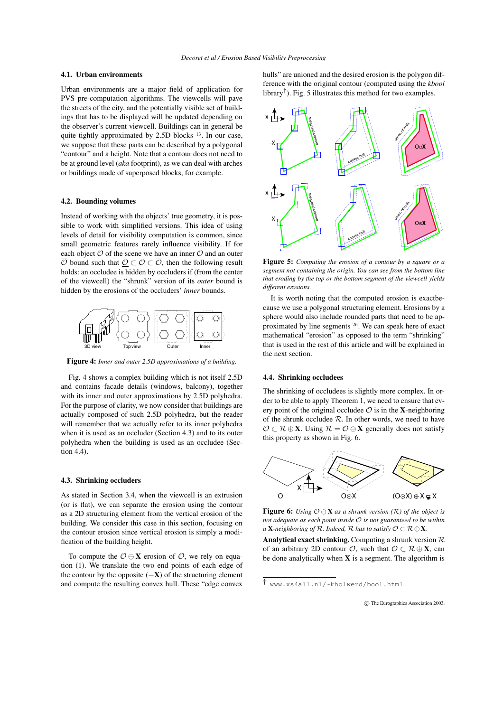## **4.1. Urban environments**

Urban environments are a major field of application for PVS pre-computation algorithms. The viewcells will pave the streets of the city, and the potentially visible set of buildings that has to be displayed will be updated depending on the observer's current viewcell. Buildings can in general be quite tightly approximated by 2.5D blocks<sup>13</sup>. In our case, we suppose that these parts can be described by a polygonal "contour" and a height. Note that a contour does not need to be at ground level (*aka* footprint), as we can deal with arches or buildings made of superposed blocks, for example.

### **4.2. Bounding volumes**

Instead of working with the objects' true geometry, it is possible to work with simplified versions. This idea of using levels of detail for visibility computation is common, since small geometric features rarely influence visibility. If for each object  $O$  of the scene we have an inner  $O$  and an outer  $\overline{\mathcal{O}}$  bound such that  $\mathcal{O} \subset \mathcal{O} \subset \overline{\mathcal{O}}$ , then the following result holds: an occludee is hidden by occluders if (from the center of the viewcell) the "shrunk" version of its *outer* bound is hidden by the erosions of the occluders' *inner* bounds.



**Figure 4:** *Inner and outer 2.5D approximations of a building.*

Fig. 4 shows a complex building which is not itself 2.5D and contains facade details (windows, balcony), together with its inner and outer approximations by 2.5D polyhedra. For the purpose of clarity, we now consider that buildings are actually composed of such 2.5D polyhedra, but the reader will remember that we actually refer to its inner polyhedra when it is used as an occluder (Section 4.3) and to its outer polyhedra when the building is used as an occludee (Section 4.4).

#### **4.3. Shrinking occluders**

As stated in Section 3.4, when the viewcell is an extrusion (or is flat), we can separate the erosion using the contour as a 2D structuring element from the vertical erosion of the building. We consider this case in this section, focusing on the contour erosion since vertical erosion is simply a modification of the building height.

To compute the  $\mathcal{O} \ominus \mathbf{X}$  erosion of  $\mathcal{O}$ , we rely on equation (1). We translate the two end points of each edge of the contour by the opposite (−**X**) of the structuring element and compute the resulting convex hull. These "edge convex hulls" are unioned and the desired erosion is the polygon difference with the original contour (computed using the *kbool* library<sup>†</sup>). Fig. 5 illustrates this method for two examples.



**Figure 5:** *Computing the erosion of a contour by a square or a segment not containing the origin. You can see from the bottom line that eroding by the top or the bottom segment of the viewcell yields different erosions.*

It is worth noting that the computed erosion is exactbecause we use a polygonal structuring element. Erosions by a sphere would also include rounded parts that need to be approximated by line segments <sup>26</sup>. We can speak here of exact mathematical "erosion" as opposed to the term "shrinking" that is used in the rest of this article and will be explained in the next section.

## **4.4. Shrinking occludees**

The shrinking of occludees is slightly more complex. In order to be able to apply Theorem 1, we need to ensure that every point of the original occludee  $\mathcal{O}$  is in the **X**-neighboring of the shrunk occludee  $R$ . In other words, we need to have  $\mathcal{O} \subset \mathcal{R} \oplus \mathbf{X}$ . Using  $\mathcal{R} = \mathcal{O} \ominus \mathbf{X}$  generally does not satisfy this property as shown in Fig. 6.



**Figure 6:** *Using*  $O \ominus X$  *as a shrunk version (R) of the object is not adequate as each point inside* O *is not guaranteed to be within a* **X**-neighboring of  $R$ *. Indeed,*  $R$  *has to satisfy*  $O \subset R \oplus X$ *.* 

**Analytical exact shrinking.** Computing a shrunk version R of an arbitrary 2D contour  $\mathcal{O}$ , such that  $\mathcal{O} \subset \mathcal{R} \oplus \mathbf{X}$ , can be done analytically when **X** is a segment. The algorithm is

<sup>†</sup> www.xs4all.nl/~kholwerd/bool.html

c The Eurographics Association 2003.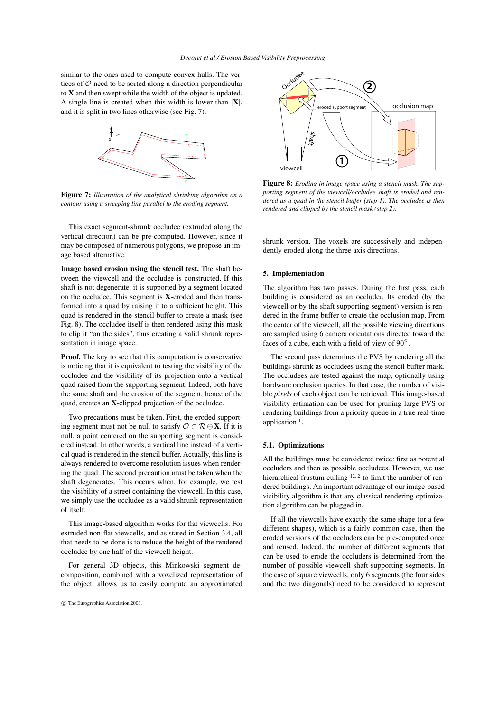similar to the ones used to compute convex hulls. The vertices of  $O$  need to be sorted along a direction perpendicular to **X** and then swept while the width of the object is updated. A single line is created when this width is lower than |**X**|, and it is split in two lines otherwise (see Fig. 7).



**Figure 7:** *Illustration of the analytical shrinking algorithm on a contour using a sweeping line parallel to the eroding segment.*

This exact segment-shrunk occludee (extruded along the vertical direction) can be pre-computed. However, since it may be composed of numerous polygons, we propose an image based alternative.

**Image based erosion using the stencil test.** The shaft between the viewcell and the occludee is constructed. If this shaft is not degenerate, it is supported by a segment located on the occludee. This segment is **X**-eroded and then transformed into a quad by raising it to a sufficient height. This quad is rendered in the stencil buffer to create a mask (see Fig. 8). The occludee itself is then rendered using this mask to clip it "on the sides", thus creating a valid shrunk representation in image space.

**Proof.** The key to see that this computation is conservative is noticing that it is equivalent to testing the visibility of the occludee and the visibility of its projection onto a vertical quad raised from the supporting segment. Indeed, both have the same shaft and the erosion of the segment, hence of the quad, creates an **X**-clipped projection of the occludee.

Two precautions must be taken. First, the eroded supporting segment must not be null to satisfy  $\mathcal{O} \subset \mathcal{R} \oplus \mathbf{X}$ . If it is null, a point centered on the supporting segment is considered instead. In other words, a vertical line instead of a vertical quad is rendered in the stencil buffer. Actually, this line is always rendered to overcome resolution issues when rendering the quad. The second precaution must be taken when the shaft degenerates. This occurs when, for example, we test the visibility of a street containing the viewcell. In this case, we simply use the occludee as a valid shrunk representation of itself.

This image-based algorithm works for flat viewcells. For extruded non-flat viewcells, and as stated in Section 3.4, all that needs to be done is to reduce the height of the rendered occludee by one half of the viewcell height.

For general 3D objects, this Minkowski segment decomposition, combined with a voxelized representation of the object, allows us to easily compute an approximated



**Figure 8:** *Eroding in image space using a stencil mask. The supporting segment of the viewcell/occludee shaft is eroded and rendered as a quad in the stencil buffer (step 1). The occludee is then rendered and clipped by the stencil mask (step 2).*

shrunk version. The voxels are successively and independently eroded along the three axis directions.

### **5. Implementation**

The algorithm has two passes. During the first pass, each building is considered as an occluder. Its eroded (by the viewcell or by the shaft supporting segment) version is rendered in the frame buffer to create the occlusion map. From the center of the viewcell, all the possible viewing directions are sampled using 6 camera orientations directed toward the faces of a cube, each with a field of view of 90°.

The second pass determines the PVS by rendering all the buildings shrunk as occludees using the stencil buffer mask. The occludees are tested against the map, optionally using hardware occlusion queries. In that case, the number of visible *pixels* of each object can be retrieved. This image-based visibility estimation can be used for pruning large PVS or rendering buildings from a priority queue in a true real-time application <sup>1</sup>.

#### **5.1. Optimizations**

All the buildings must be considered twice: first as potential occluders and then as possible occludees. However, we use hierarchical frustum culling  $12, 2$  to limit the number of rendered buildings. An important advantage of our image-based visibility algorithm is that any classical rendering optimization algorithm can be plugged in.

If all the viewcells have exactly the same shape (or a few different shapes), which is a fairly common case, then the eroded versions of the occluders can be pre-computed once and reused. Indeed, the number of different segments that can be used to erode the occluders is determined from the number of possible viewcell shaft-supporting segments. In the case of square viewcells, only 6 segments (the four sides and the two diagonals) need to be considered to represent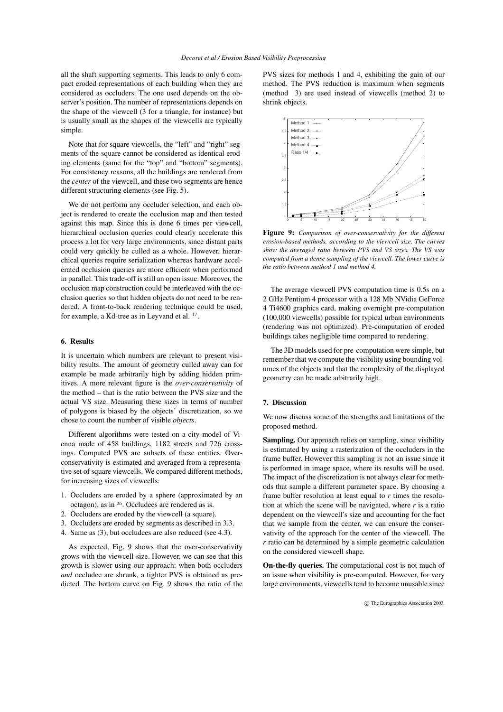all the shaft supporting segments. This leads to only 6 compact eroded representations of each building when they are considered as occluders. The one used depends on the observer's position. The number of representations depends on the shape of the viewcell (3 for a triangle, for instance) but is usually small as the shapes of the viewcells are typically simple.

Note that for square viewcells, the "left" and "right" segments of the square cannot be considered as identical eroding elements (same for the "top" and "bottom" segments). For consistency reasons, all the buildings are rendered from the *center* of the viewcell, and these two segments are hence different structuring elements (see Fig. 5).

We do not perform any occluder selection, and each object is rendered to create the occlusion map and then tested against this map. Since this is done 6 times per viewcell, hierarchical occlusion queries could clearly accelerate this process a lot for very large environments, since distant parts could very quickly be culled as a whole. However, hierarchical queries require serialization whereas hardware accelerated occlusion queries are more efficient when performed in parallel. This trade-off is still an open issue. Moreover, the occlusion map construction could be interleaved with the occlusion queries so that hidden objects do not need to be rendered. A front-to-back rendering technique could be used, for example, a Kd-tree as in Leyvand et al. <sup>17</sup>.

#### **6. Results**

It is uncertain which numbers are relevant to present visibility results. The amount of geometry culled away can for example be made arbitrarily high by adding hidden primitives. A more relevant figure is the *over-conservativity* of the method – that is the ratio between the PVS size and the actual VS size. Measuring these sizes in terms of number of polygons is biased by the objects' discretization, so we chose to count the number of visible *objects*.

Different algorithms were tested on a city model of Vienna made of 458 buildings, 1182 streets and 726 crossings. Computed PVS are subsets of these entities. Overconservativity is estimated and averaged from a representative set of square viewcells. We compared different methods, for increasing sizes of viewcells:

- 1. Occluders are eroded by a sphere (approximated by an octagon), as in <sup>26</sup> . Occludees are rendered as is.
- 2. Occluders are eroded by the viewcell (a square).
- 3. Occluders are eroded by segments as described in 3.3.
- 4. Same as (3), but occludees are also reduced (see 4.3).

As expected, Fig. 9 shows that the over-conservativity grows with the viewcell-size. However, we can see that this growth is slower using our approach: when both occluders *and* occludee are shrunk, a tighter PVS is obtained as predicted. The bottom curve on Fig. 9 shows the ratio of the PVS sizes for methods 1 and 4, exhibiting the gain of our method. The PVS reduction is maximum when segments (method 3) are used instead of viewcells (method 2) to shrink objects.



**Figure 9:** *Comparison of over-conservativity for the different erosion-based methods, according to the viewcell size. The curves show the averaged ratio between PVS and VS sizes. The VS was computed from a dense sampling of the viewcell. The lower curve is the ratio between method 1 and method 4.*

The average viewcell PVS computation time is 0.5s on a 2 GHz Pentium 4 processor with a 128 Mb NVidia GeForce 4 Ti4600 graphics card, making overnight pre-computation (100,000 viewcells) possible for typical urban environments (rendering was not optimized). Pre-computation of eroded buildings takes negligible time compared to rendering.

The 3D models used for pre-computation were simple, but remember that we compute the visibility using bounding volumes of the objects and that the complexity of the displayed geometry can be made arbitrarily high.

#### **7. Discussion**

We now discuss some of the strengths and limitations of the proposed method.

**Sampling.** Our approach relies on sampling, since visibility is estimated by using a rasterization of the occluders in the frame buffer. However this sampling is not an issue since it is performed in image space, where its results will be used. The impact of the discretization is not always clear for methods that sample a different parameter space. By choosing a frame buffer resolution at least equal to *r* times the resolution at which the scene will be navigated, where *r* is a ratio dependent on the viewcell's size and accounting for the fact that we sample from the center, we can ensure the conservativity of the approach for the center of the viewcell. The *r* ratio can be determined by a simple geometric calculation on the considered viewcell shape.

**On-the-fly queries.** The computational cost is not much of an issue when visibility is pre-computed. However, for very large environments, viewcells tend to become unusable since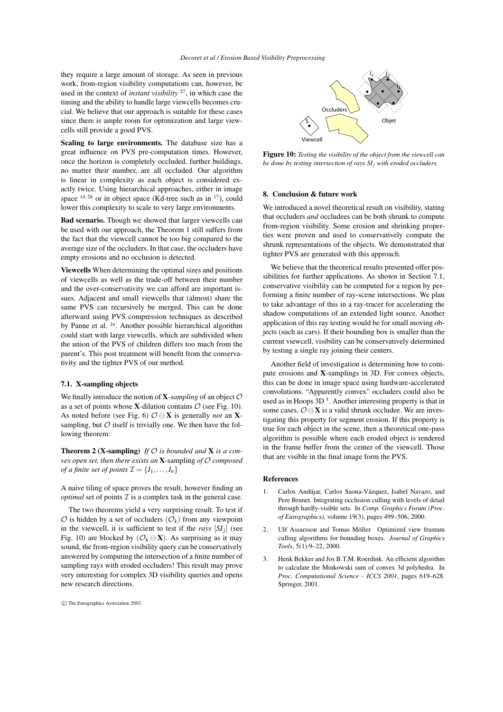they require a large amount of storage. As seen in previous work, from-region visibility computations can, however, be used in the context of *instant visibility* <sup>27</sup> , in which case the timing and the ability to handle large viewcells becomes crucial. We believe that our approach is suitable for these cases since there is ample room for optimization and large viewcells still provide a good PVS.

**Scaling to large environments.** The database size has a great influence on PVS pre-computation times. However, once the horizon is completely occluded, further buildings, no matter their number, are all occluded. Our algorithm is linear in complexity as each object is considered exactly twice. Using hierarchical approaches, either in image space  $14, 28$  or in object space (Kd-tree such as in  $17$ ), could lower this complexity to scale to very large environments.

**Bad scenario.** Though we showed that larger viewcells can be used with our approach, the Theorem 1 still suffers from the fact that the viewcell cannot be too big compared to the average size of the occluders. In that case, the occluders have empty erosions and no occlusion is detected.

**Viewcells** When determining the optimal sizes and positions of viewcells as well as the trade-off between their number and the over-conservativity we can afford are important issues. Adjacent and small viewcells that (almost) share the same PVS can recursively be merged. This can be done afterward using PVS compression techniques as described by Panne et al. <sup>24</sup>. Another possible hierarchical algorithm could start with large viewcells, which are subdivided when the union of the PVS of children differs too much from the parent's. This post treatment will benefit from the conservativity and the tighter PVS of our method.

#### **7.1. X-sampling objects**

We finally introduce the notion of  $X$ *-sampling* of an object  $O$ as a set of points whose **X**-dilation contains  $\mathcal{O}$  (see Fig. 10). As noted before (see Fig. 6)  $\mathcal{O} \ominus \mathbf{X}$  is generally *not* an **X**sampling, but  $\mathcal O$  itself is trivially one. We then have the following theorem:

**Theorem 2 (X-sampling)** If  $O$  is bounded and **X** is a con*vex open set, then there exists an* **X**-sampling *of* O *composed of a finite set of points*  $\mathcal{I} = \{I_1, \ldots, I_n\}$ 

A naive tiling of space proves the result, however finding an *optimal* set of points  $\mathcal I$  is a complex task in the general case.

The two theorems yield a very surprising result. To test if  $\mathcal O$  is hidden by a set of occluders  $(\mathcal O_k)$  from any viewpoint in the viewcell, it is sufficient to test if the *rays*  $[SI_j]$  (see Fig. 10) are blocked by  $(\mathcal{O}_k \ominus \mathbf{X})$ . As surprising as it may sound, the from-region visibility query can be conservatively answered by computing the intersection of a finite number of sampling rays with eroded occluders! This result may prove very interesting for complex 3D visibility queries and opens new research directions.





**Figure 10:** *Testing the visibility of the object from the viewcell can be done by testing intersection of rays SI<sup>j</sup> with eroded occluders.*

#### **8. Conclusion & future work**

We introduced a novel theoretical result on visibility, stating that occluders *and* occludees can be both shrunk to compute from-region visibility. Some erosion and shrinking properties were proven and used to conservatively compute the shrunk representations of the objects. We demonstrated that tighter PVS are generated with this approach.

We believe that the theoretical results presented offer possibilities for further applications. As shown in Section 7.1, conservative visibility can be computed for a region by performing a finite number of ray-scene intersections. We plan to take advantage of this in a ray-tracer for accelerating the shadow computations of an extended light source. Another application of this ray testing would be for small moving objects (such as cars). If their bounding box is smaller than the current viewcell, visibility can be conservatively determined by testing a single ray joining their centers.

Another field of investigation is determining how to compute erosions and **X**-samplings in 3D. For convex objects, this can be done in image space using hardware-accelerated convolutions. "Apparently convex" occluders could also be used as in Hoops 3D<sup>5</sup>. Another interesting property is that in some cases,  $\mathcal{O} \ominus \mathbf{X}$  is a valid shrunk occludee. We are investigating this property for segment erosion. If this property is true for each object in the scene, then a theoretical one-pass algorithm is possible where each eroded object is rendered in the frame buffer from the center of the viewcell. Those that are visible in the final image form the PVS.

#### **References**

- 1. Carlos Andújar, Carlos Saona-Vázquez, Isabel Navazo, and Pere Brunet. Integrating occlusion culling with levels of detail through hardly-visible sets. In *Comp. Graphics Forum (Proc. of Eurographics)*, volume 19(3), pages 499–506, 2000.
- 2. Ulf Assarsson and Tomas Möller. Optimized view frustum culling algorithms for bounding boxes. *Journal of Graphics Tools*, 5(1):9–22, 2000.
- 3. Henk Bekker and Jos B.T.M. Roerdink. An efficient algorithm to calculate the Minkowski sum of convex 3d polyhedra. In *Proc. Computational Science - ICCS 2001*, pages 619–628. Springer, 2001.